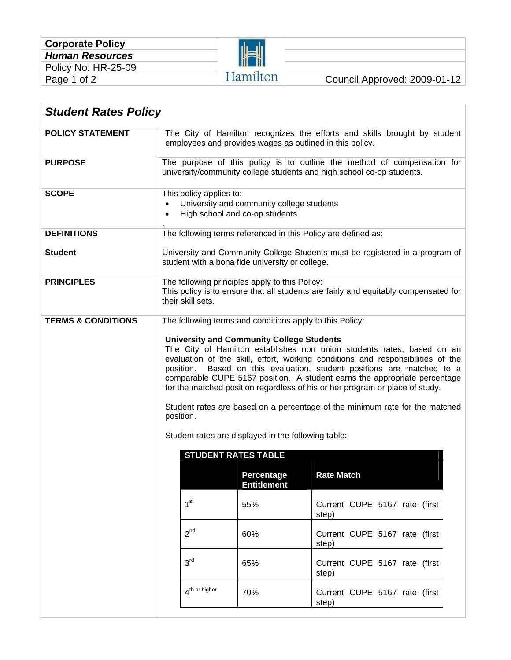

| <b>Student Rates Policy</b>   |                                                                                                                                                                                                                                                                                                                                                                                                                                                                                                                                                                                                                                                                                                      |                    |                                        |  |
|-------------------------------|------------------------------------------------------------------------------------------------------------------------------------------------------------------------------------------------------------------------------------------------------------------------------------------------------------------------------------------------------------------------------------------------------------------------------------------------------------------------------------------------------------------------------------------------------------------------------------------------------------------------------------------------------------------------------------------------------|--------------------|----------------------------------------|--|
| <b>POLICY STATEMENT</b>       | The City of Hamilton recognizes the efforts and skills brought by student<br>employees and provides wages as outlined in this policy.                                                                                                                                                                                                                                                                                                                                                                                                                                                                                                                                                                |                    |                                        |  |
| <b>PURPOSE</b>                | The purpose of this policy is to outline the method of compensation for<br>university/community college students and high school co-op students.                                                                                                                                                                                                                                                                                                                                                                                                                                                                                                                                                     |                    |                                        |  |
| <b>SCOPE</b>                  | This policy applies to:<br>University and community college students<br>$\bullet$<br>High school and co-op students<br>$\bullet$                                                                                                                                                                                                                                                                                                                                                                                                                                                                                                                                                                     |                    |                                        |  |
| <b>DEFINITIONS</b>            | The following terms referenced in this Policy are defined as:                                                                                                                                                                                                                                                                                                                                                                                                                                                                                                                                                                                                                                        |                    |                                        |  |
| <b>Student</b>                | University and Community College Students must be registered in a program of<br>student with a bona fide university or college.                                                                                                                                                                                                                                                                                                                                                                                                                                                                                                                                                                      |                    |                                        |  |
| <b>PRINCIPLES</b>             | The following principles apply to this Policy:<br>This policy is to ensure that all students are fairly and equitably compensated for<br>their skill sets.                                                                                                                                                                                                                                                                                                                                                                                                                                                                                                                                           |                    |                                        |  |
| <b>TERMS &amp; CONDITIONS</b> | The following terms and conditions apply to this Policy:<br><b>University and Community College Students</b><br>The City of Hamilton establishes non union students rates, based on an<br>evaluation of the skill, effort, working conditions and responsibilities of the<br>Based on this evaluation, student positions are matched to a<br>position.<br>comparable CUPE 5167 position. A student earns the appropriate percentage<br>for the matched position regardless of his or her program or place of study.<br>Student rates are based on a percentage of the minimum rate for the matched<br>position.<br>Student rates are displayed in the following table:<br><b>STUDENT RATES TABLE</b> |                    |                                        |  |
|                               |                                                                                                                                                                                                                                                                                                                                                                                                                                                                                                                                                                                                                                                                                                      | <b>Percentage</b>  | <b>Rate Match</b>                      |  |
|                               |                                                                                                                                                                                                                                                                                                                                                                                                                                                                                                                                                                                                                                                                                                      | <b>Entitlement</b> |                                        |  |
|                               | 1 <sup>st</sup>                                                                                                                                                                                                                                                                                                                                                                                                                                                                                                                                                                                                                                                                                      | 55%                | Current CUPE 5167 rate (first<br>step) |  |
|                               | $2^{nd}$                                                                                                                                                                                                                                                                                                                                                                                                                                                                                                                                                                                                                                                                                             | 60%                | Current CUPE 5167 rate (first<br>step) |  |
|                               | 3 <sup>rd</sup>                                                                                                                                                                                                                                                                                                                                                                                                                                                                                                                                                                                                                                                                                      | 65%                | Current CUPE 5167 rate (first<br>step) |  |
|                               | $\boldsymbol{\Lambda}^{\text{th}}$ or higher                                                                                                                                                                                                                                                                                                                                                                                                                                                                                                                                                                                                                                                         | 70%                | Current CUPE 5167 rate (first<br>step) |  |